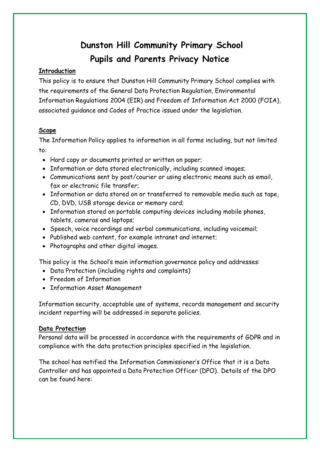# **Dunston Hill Community Primary School Pupils and Parents Privacy Notice**

## **Introduction**

This policy is to ensure that Dunston Hill Community Primary School complies with the requirements of the General Data Protection Regulation, Environmental Information Regulations 2004 (EIR) and Freedom of Information Act 2000 (FOIA), associated guidance and Codes of Practice issued under the legislation.

## **Scope**

The Information Policy applies to information in all forms including, but not limited to:

- Hard copy or documents printed or written on paper;
- Information or data stored electronically, including scanned images;
- Communications sent by post/courier or using electronic means such as email, fax or electronic file transfer;
- Information or data stored on or transferred to removable media such as tape, CD, DVD, USB storage device or memory card;
- Information stored on portable computing devices including mobile phones, tablets, cameras and laptops;
- Speech, voice recordings and verbal communications, including voicemail;
- Published web content, for example intranet and internet;
- Photographs and other digital images.

This policy is the School's main information governance policy and addresses:

- Data Protection (including rights and complaints)
- Freedom of Information
- Information Asset Management

Information security, acceptable use of systems, records management and security incident reporting will be addressed in separate policies.

#### **Data Protection**

Personal data will be processed in accordance with the requirements of GDPR and in compliance with the data protection principles specified in the legislation.

The school has notified the Information Commissioner's Office that it is a Data Controller and has appointed a Data Protection Officer (DPO). Details of the DPO can be found here: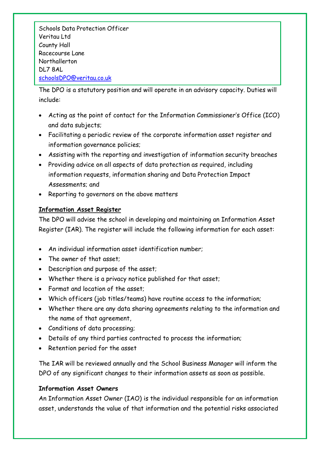Schools Data Protection Officer Veritau Ltd County Hall Racecourse Lane Northallerton DL7 8AL [schoolsDPO@veritau.co.uk](mailto:schoolsDPO@veritau.co.uk)

The DPO is a statutory position and will operate in an advisory capacity. Duties will include:

- Acting as the point of contact for the Information Commissioner's Office (ICO) and data subjects;
- Facilitating a periodic review of the corporate information asset register and information governance policies; **the DPO**
- Assisting with the reporting and investigation of information security breaches
- Providing advice on all aspects of data protection as required, including information requests, information sharing and Data Protection Impact Assessments; and
- Reporting to governors on the above matters

# **Information Asset Register**

The DPO will advise the school in developing and maintaining an Information Asset Register (IAR). The register will include the following information for each asset:

- An individual information asset identification number;
- The owner of that asset;
- Description and purpose of the asset;
- Whether there is a privacy notice published for that asset;
- Format and location of the asset;
- Which officers (job titles/teams) have routine access to the information;
- Whether there are any data sharing agreements relating to the information and the name of that agreement,
- Conditions of data processing;
- Details of any third parties contracted to process the information;
- Retention period for the asset

The IAR will be reviewed annually and the School Business Manager will inform the DPO of any significant changes to their information assets as soon as possible.

## **Information Asset Owners**

An Information Asset Owner (IAO) is the individual responsible for an information asset, understands the value of that information and the potential risks associated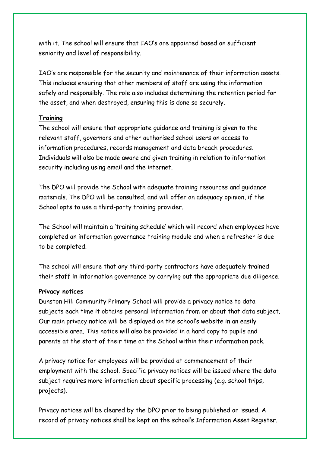with it. The school will ensure that IAO's are appointed based on sufficient seniority and level of responsibility.

IAO's are responsible for the security and maintenance of their information assets. This includes ensuring that other members of staff are using the information safely and responsibly. The role also includes determining the retention period for the asset, and when destroyed, ensuring this is done so securely.

#### **Training**

The school will ensure that appropriate guidance and training is given to the relevant staff, governors and other authorised school users on access to information procedures, records management and data breach procedures. Individuals will also be made aware and given training in relation to information security including using email and the internet.

The DPO will provide the School with adequate training resources and guidance materials. The DPO will be consulted, and will offer an adequacy opinion, if the School opts to use a third-party training provider.

The School will maintain a 'training schedule' which will record when employees have completed an information governance training module and when a refresher is due to be completed.

The school will ensure that any third-party contractors have adequately trained their staff in information governance by carrying out the appropriate due diligence.

#### **Privacy notices**

Dunston Hill Community Primary School will provide a privacy notice to data subjects each time it obtains personal information from or about that data subject. Our main privacy notice will be displayed on the school's website in an easily accessible area. This notice will also be provided in a hard copy to pupils and parents at the start of their time at the School within their information pack.

A privacy notice for employees will be provided at commencement of their employment with the school. Specific privacy notices will be issued where the data subject requires more information about specific processing (e.g. school trips, projects).

Privacy notices will be cleared by the DPO prior to being published or issued. A record of privacy notices shall be kept on the school's Information Asset Register.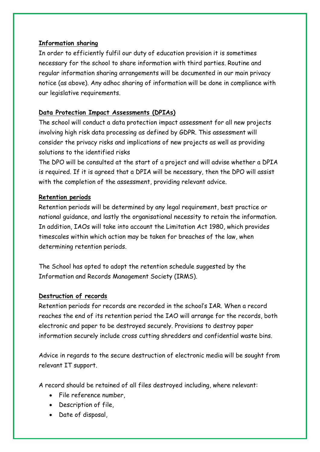#### **Information sharing**

In order to efficiently fulfil our duty of education provision it is sometimes necessary for the school to share information with third parties. Routine and regular information sharing arrangements will be documented in our main privacy notice (as above). Any adhoc sharing of information will be done in compliance with our legislative requirements.

## **Data Protection Impact Assessments (DPIAs)**

The school will conduct a data protection impact assessment for all new projects involving high risk data processing as defined by GDPR. This assessment will consider the privacy risks and implications of new projects as well as providing solutions to the identified risks

The DPO will be consulted at the start of a project and will advise whether a DPIA is required. If it is agreed that a DPIA will be necessary, then the DPO will assist with the completion of the assessment, providing relevant advice.

#### **Retention periods**

Retention periods will be determined by any legal requirement, best practice or national guidance, and lastly the organisational necessity to retain the information. In addition, IAOs will take into account the Limitation Act 1980, which provides timescales within which action may be taken for breaches of the law, when determining retention periods.

The School has opted to adopt the retention schedule suggested by the Information and Records Management Society (IRMS).

#### **Destruction of records**

Retention periods for records are recorded in the school's IAR. When a record reaches the end of its retention period the IAO will arrange for the records, both electronic and paper to be destroyed securely. Provisions to destroy paper information securely include cross cutting shredders and confidential waste bins.

Advice in regards to the secure destruction of electronic media will be sought from relevant IT support.

A record should be retained of all files destroyed including, where relevant:

- File reference number,
- Description of file,
- Date of disposal,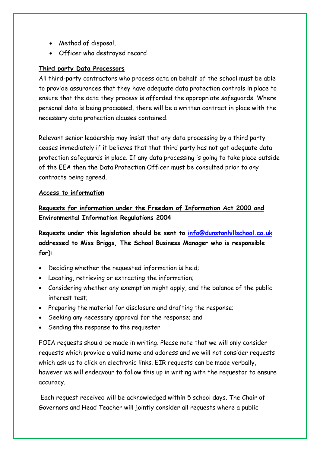- Method of disposal,
- Officer who destroyed record

## **Third party Data Processors**

All third-party contractors who process data on behalf of the school must be able to provide assurances that they have adequate data protection controls in place to ensure that the data they process is afforded the appropriate safeguards. Where personal data is being processed, there will be a written contract in place with the necessary data protection clauses contained.

Relevant senior leadership may insist that any data processing by a third party ceases immediately if it believes that that third party has not got adequate data protection safeguards in place. If any data processing is going to take place outside of the EEA then the Data Protection Officer must be consulted prior to any contracts being agreed.

#### **Access to information**

# **Requests for information under the Freedom of Information Act 2000 and Environmental Information Regulations 2004**

**Requests under this legislation should be sent to [info@dunstonhillschool.co.uk](mailto:info@dunstonhillschool.co.uk) addressed to Miss Briggs, The School Business Manager who is responsible for):**

- Deciding whether the requested information is held;
- Locating, retrieving or extracting the information;
- Considering whether any exemption might apply, and the balance of the public interest test;
- Preparing the material for disclosure and drafting the response;
- Seeking any necessary approval for the response; and
- Sending the response to the requester

FOIA requests should be made in writing. Please note that we will only consider requests which provide a valid name and address and we will not consider requests which ask us to click on electronic links. EIR requests can be made verbally, however we will endeavour to follow this up in writing with the requestor to ensure accuracy.

Each request received will be acknowledged within 5 school days. The Chair of Governors and Head Teacher will jointly consider all requests where a public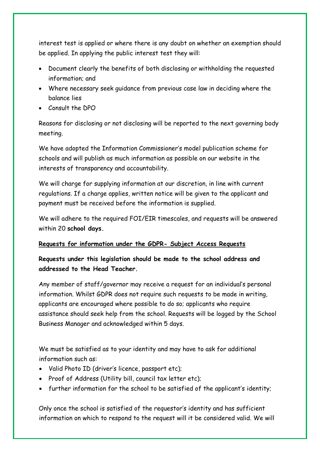interest test is applied or where there is any doubt on whether an exemption should be applied. In applying the public interest test they will:

- Document clearly the benefits of both disclosing or withholding the requested information; and
- Where necessary seek guidance from previous case law in deciding where the balance lies
- Consult the DPO

Reasons for disclosing or not disclosing will be reported to the next governing body meeting.

We have adopted the Information Commissioner's model publication scheme for schools and will publish as much information as possible on our website in the interests of transparency and accountability.

We will charge for supplying information at our discretion, in line with current regulations. If a charge applies, written notice will be given to the applicant and payment must be received before the information is supplied.

We will adhere to the required FOI/EIR timescales, and requests will be answered within 20 **school days.**

## **Requests for information under the GDPR- Subject Access Requests**

**Requests under this legislation should be made to the school address and addressed to the Head Teacher.** 

Any member of staff/governor may receive a request for an individual's personal information. Whilst GDPR does not require such requests to be made in writing, applicants are encouraged where possible to do so; applicants who require assistance should seek help from the school. Requests will be logged by the School Business Manager and acknowledged within 5 days.

We must be satisfied as to your identity and may have to ask for additional information such as:

- Valid Photo ID (driver's licence, passport etc);
- Proof of Address (Utility bill, council tax letter etc);
- further information for the school to be satisfied of the applicant's identity;

Only once the school is satisfied of the requestor's identity and has sufficient information on which to respond to the request will it be considered valid. We will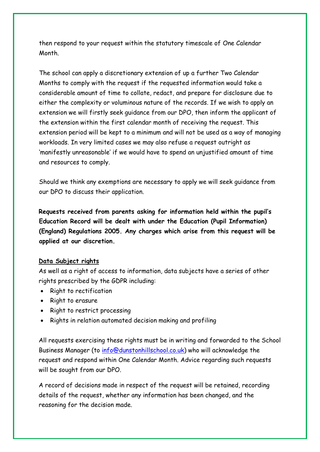then respond to your request within the statutory timescale of One Calendar Month.

The school can apply a discretionary extension of up a further Two Calendar Months to comply with the request if the requested information would take a considerable amount of time to collate, redact, and prepare for disclosure due to either the complexity or voluminous nature of the records. If we wish to apply an extension we will firstly seek guidance from our DPO, then inform the applicant of the extension within the first calendar month of receiving the request. This extension period will be kept to a minimum and will not be used as a way of managing workloads. In very limited cases we may also refuse a request outright as 'manifestly unreasonable' if we would have to spend an unjustified amount of time and resources to comply.

Should we think any exemptions are necessary to apply we will seek guidance from our DPO to discuss their application.

**Requests received from parents asking for information held within the pupil's Education Record will be dealt with under the Education (Pupil Information) (England) Regulations 2005. Any charges which arise from this request will be applied at our discretion.** 

#### **Data Subject rights**

As well as a right of access to information, data subjects have a series of other rights prescribed by the GDPR including:

- Right to rectification
- Right to erasure
- Right to restrict processing
- Rights in relation automated decision making and profiling

All requests exercising these rights must be in writing and forwarded to the School Business Manager (to [info@dunstonhillschool.co.uk\)](mailto:info@dunstonhillschool.co.uk) who will acknowledge the request and respond within One Calendar Month. Advice regarding such requests will be sought from our DPO.

A record of decisions made in respect of the request will be retained, recording details of the request, whether any information has been changed, and the reasoning for the decision made.